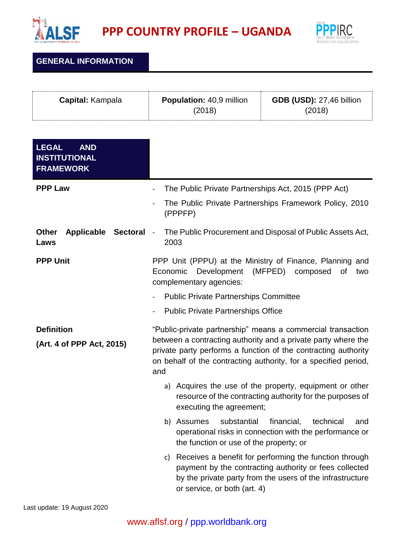

**PPP COUNTRY PROFILE – UGANDA**



## **GENERAL INFORMATION**

| <b>GDB (USD): 27,46 billion</b><br><b>Capital:</b> Kampala<br><b>Population: 40,9 million</b><br>(2018)<br>(2018) |  |
|-------------------------------------------------------------------------------------------------------------------|--|
|-------------------------------------------------------------------------------------------------------------------|--|

| <b>AND</b><br><b>LEGAL</b><br><b>INSTITUTIONAL</b><br><b>FRAMEWORK</b> |                                                                                                                                                                                                                                                                          |
|------------------------------------------------------------------------|--------------------------------------------------------------------------------------------------------------------------------------------------------------------------------------------------------------------------------------------------------------------------|
| <b>PPP Law</b>                                                         | The Public Private Partnerships Act, 2015 (PPP Act)<br>$\overline{\phantom{a}}$                                                                                                                                                                                          |
|                                                                        | The Public Private Partnerships Framework Policy, 2010<br>$\overline{a}$<br>(PPPFP)                                                                                                                                                                                      |
| <b>Other</b><br>Applicable<br><b>Sectoral</b><br>Laws                  | The Public Procurement and Disposal of Public Assets Act,<br>$\blacksquare$<br>2003                                                                                                                                                                                      |
| <b>PPP Unit</b>                                                        | PPP Unit (PPPU) at the Ministry of Finance, Planning and<br>Economic<br>Development<br>(MFPED)<br>composed<br>of<br>two<br>complementary agencies:                                                                                                                       |
|                                                                        | <b>Public Private Partnerships Committee</b>                                                                                                                                                                                                                             |
|                                                                        | <b>Public Private Partnerships Office</b>                                                                                                                                                                                                                                |
| <b>Definition</b><br>(Art. 4 of PPP Act, 2015)                         | "Public-private partnership" means a commercial transaction<br>between a contracting authority and a private party where the<br>private party performs a function of the contracting authority<br>on behalf of the contracting authority, for a specified period,<br>and |
|                                                                        | a) Acquires the use of the property, equipment or other<br>resource of the contracting authority for the purposes of<br>executing the agreement;                                                                                                                         |
|                                                                        | substantial<br>financial,<br>b) Assumes<br>technical<br>and<br>operational risks in connection with the performance or<br>the function or use of the property; or                                                                                                        |
|                                                                        | Receives a benefit for performing the function through<br>C)<br>payment by the contracting authority or fees collected<br>by the private party from the users of the infrastructure<br>or service, or both (art. 4)                                                      |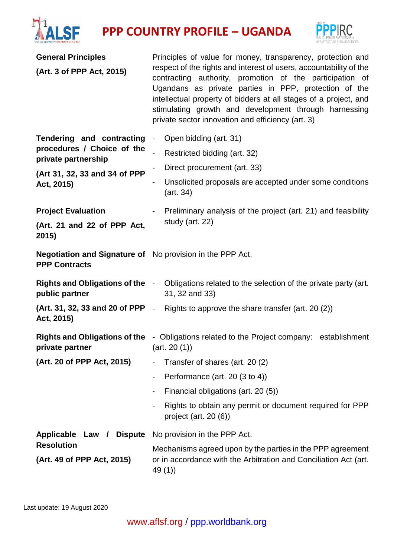



| <b>General Principles</b>                                                                                                     | Principles of value for money, transparency, protection and                                                                                                                                                                                                                                                                                                               |  |
|-------------------------------------------------------------------------------------------------------------------------------|---------------------------------------------------------------------------------------------------------------------------------------------------------------------------------------------------------------------------------------------------------------------------------------------------------------------------------------------------------------------------|--|
| (Art. 3 of PPP Act, 2015)                                                                                                     | respect of the rights and interest of users, accountability of the<br>contracting authority, promotion of the participation of<br>Ugandans as private parties in PPP, protection of the<br>intellectual property of bidders at all stages of a project, and<br>stimulating growth and development through harnessing<br>private sector innovation and efficiency (art. 3) |  |
| Tendering and contracting<br>procedures / Choice of the<br>private partnership<br>(Art 31, 32, 33 and 34 of PPP<br>Act, 2015) | Open bidding (art. 31)<br>$\blacksquare$                                                                                                                                                                                                                                                                                                                                  |  |
|                                                                                                                               | Restricted bidding (art. 32)                                                                                                                                                                                                                                                                                                                                              |  |
|                                                                                                                               | Direct procurement (art. 33)                                                                                                                                                                                                                                                                                                                                              |  |
|                                                                                                                               | Unsolicited proposals are accepted under some conditions<br>$\overline{\phantom{0}}$<br>(art. 34)                                                                                                                                                                                                                                                                         |  |
| <b>Project Evaluation</b>                                                                                                     | Preliminary analysis of the project (art. 21) and feasibility                                                                                                                                                                                                                                                                                                             |  |
| (Art. 21 and 22 of PPP Act,<br>2015)                                                                                          | study (art. 22)                                                                                                                                                                                                                                                                                                                                                           |  |
| <b>Negotiation and Signature of</b> No provision in the PPP Act.<br><b>PPP Contracts</b>                                      |                                                                                                                                                                                                                                                                                                                                                                           |  |
| public partner                                                                                                                | <b>Rights and Obligations of the</b> - Obligations related to the selection of the private party (art.<br>31, 32 and 33)                                                                                                                                                                                                                                                  |  |
| Act, 2015)                                                                                                                    | (Art. 31, 32, 33 and 20 of PPP - Rights to approve the share transfer (art. 20 (2))                                                                                                                                                                                                                                                                                       |  |
| private partner                                                                                                               | <b>Rights and Obligations of the</b> - Obligations related to the Project company: establishment<br>(art. 20 (1))                                                                                                                                                                                                                                                         |  |
| (Art. 20 of PPP Act, 2015)                                                                                                    | Transfer of shares (art. 20 (2)<br>$\blacksquare$                                                                                                                                                                                                                                                                                                                         |  |
|                                                                                                                               | Performance (art. 20 (3 to 4))                                                                                                                                                                                                                                                                                                                                            |  |
|                                                                                                                               | Financial obligations (art. 20 (5))                                                                                                                                                                                                                                                                                                                                       |  |
|                                                                                                                               | Rights to obtain any permit or document required for PPP<br>project (art. 20 (6))                                                                                                                                                                                                                                                                                         |  |
| Applicable Law / Dispute                                                                                                      | No provision in the PPP Act.                                                                                                                                                                                                                                                                                                                                              |  |
| <b>Resolution</b>                                                                                                             | Mechanisms agreed upon by the parties in the PPP agreement                                                                                                                                                                                                                                                                                                                |  |
| (Art. 49 of PPP Act, 2015)                                                                                                    | or in accordance with the Arbitration and Conciliation Act (art.<br>49(1)                                                                                                                                                                                                                                                                                                 |  |